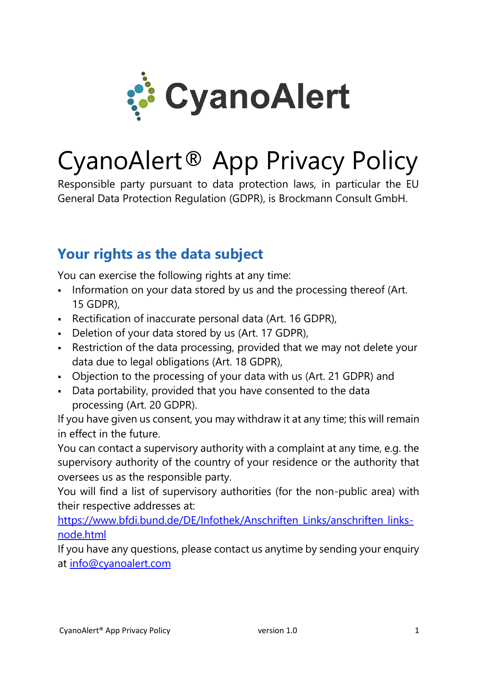

# CyanoAlert® App Privacy Policy

Responsible party pursuant to data protection laws, in particular the EU General Data Protection Regulation (GDPR), is Brockmann Consult GmbH.

# **Your rights as the data subject**

You can exercise the following rights at any time:

- **.** Information on your data stored by us and the processing thereof (Art. 15 GDPR),
- Rectification of inaccurate personal data (Art. 16 GDPR),
- **•** Deletion of your data stored by us (Art. 17 GDPR),
- Restriction of the data processing, provided that we may not delete your data due to legal obligations (Art. 18 GDPR),
- Objection to the processing of your data with us (Art. 21 GDPR) and
- Data portability, provided that you have consented to the data processing (Art. 20 GDPR).

If you have given us consent, you may withdraw it at any time; this will remain in effect in the future.

You can contact a supervisory authority with a complaint at any time, e.g. the supervisory authority of the country of your residence or the authority that oversees us as the responsible party.

You will find a list of supervisory authorities (for the non-public area) with their respective addresses at:

[https://www.bfdi.bund.de/DE/Infothek/Anschriften\\_Links/anschriften\\_links](https://www.bfdi.bund.de/DE/Infothek/Anschriften_Links/anschriften_links-node.html)[node.html](https://www.bfdi.bund.de/DE/Infothek/Anschriften_Links/anschriften_links-node.html)

If you have any questions, please contact us anytime by sending your enquiry at [info@cyanoalert.com](mailto:info@cyanoalert.com)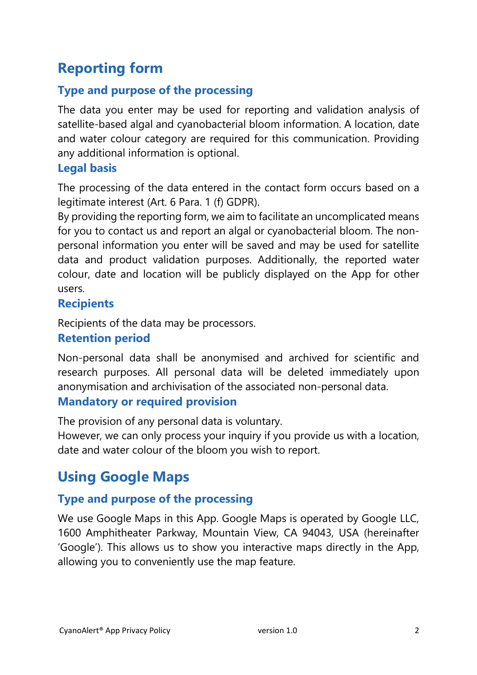# **Reporting form**

## **Type and purpose of the processing**

The data you enter may be used for reporting and validation analysis of satellite-based algal and cyanobacterial bloom information. A location, date and water colour category are required for this communication. Providing any additional information is optional.

#### **Legal basis**

The processing of the data entered in the contact form occurs based on a legitimate interest (Art. 6 Para. 1 (f) GDPR).

By providing the reporting form, we aim to facilitate an uncomplicated means for you to contact us and report an algal or cyanobacterial bloom. The nonpersonal information you enter will be saved and may be used for satellite data and product validation purposes. Additionally, the reported water colour, date and location will be publicly displayed on the App for other users.

### **Recipients**

Recipients of the data may be processors.

#### **Retention period**

Non-personal data shall be anonymised and archived for scientific and research purposes. All personal data will be deleted immediately upon anonymisation and archivisation of the associated non-personal data.

#### **Mandatory or required provision**

The provision of any personal data is voluntary.

However, we can only process your inquiry if you provide us with a location, date and water colour of the bloom you wish to report.

# **Using Google Maps**

## **Type and purpose of the processing**

We use Google Maps in this App. Google Maps is operated by Google LLC, 1600 Amphitheater Parkway, Mountain View, CA 94043, USA (hereinafter 'Google'). This allows us to show you interactive maps directly in the App, allowing you to conveniently use the map feature.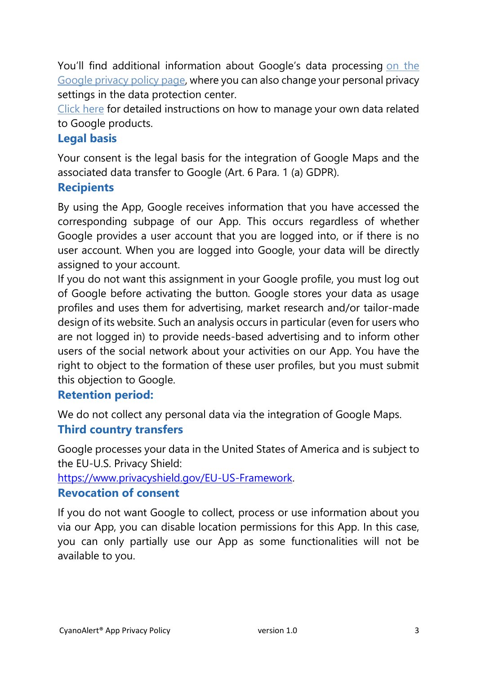You'll find additional information about Google's data processing on [the](http://www.google.com/privacypolicy.html) [Google](http://www.google.com/privacypolicy.html) privacy policy page, where you can also change your personal privacy settings in the data protection center.

[Click](http://www.dataliberation.org/) here for detailed instructions on how to manage your own data related to Google products.

## **Legal basis**

Your consent is the legal basis for the integration of Google Maps and the associated data transfer to Google (Art. 6 Para. 1 (a) GDPR).

### **Recipients**

By using the App, Google receives information that you have accessed the corresponding subpage of our App. This occurs regardless of whether Google provides a user account that you are logged into, or if there is no user account. When you are logged into Google, your data will be directly assigned to your account.

If you do not want this assignment in your Google profile, you must log out of Google before activating the button. Google stores your data as usage profiles and uses them for advertising, market research and/or tailor-made design of its website. Such an analysis occurs in particular (even for users who are not logged in) to provide needs-based advertising and to inform other users of the social network about your activities on our App. You have the right to object to the formation of these user profiles, but you must submit this objection to Google.

## **Retention period:**

We do not collect any personal data via the integration of Google Maps. **Third country transfers**

Google processes your data in the United States of America and is subject to the EU-U.S. Privacy Shield:

[https://www.privacyshield.gov/EU-US-Framework.](https://www.privacyshield.gov/EU-US-Framework)

#### **Revocation of consent**

If you do not want Google to collect, process or use information about you via our App, you can disable location permissions for this App. In this case, you can only partially use our App as some functionalities will not be available to you.